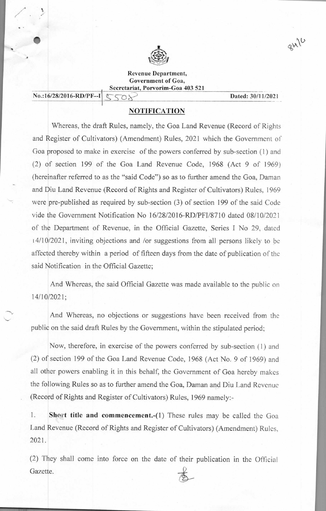

**Revenue Department, Government of Goa, Secretariat, Porvorim-Goa 403 521** 

**No.:16/28/2016-RD/PF--I**  $\subset \cap$ 

 $\n *QW*\n *QW*\n$ 

## **NOTIFICATION**

Whereas, the draft Rules, namely, the Goa Land Revenue (Record of Rights and Register of Cultivators) (Amendment) Rules, 2021 which the Government of Goa proposed to make in exercise of the powers conferred by sub-section (1) and (2) of section 199 of the Goa Land Revenue Code, 1968 (Act 9 of 1969) (hereinafter referred to as the "said Code") so as to further amend the Goa, Daman and Diu Land Revenue (Record of Rights and Register of Cultivators) Rules, 1969 were pre-published as required by sub-section (3) of section 199 of the said Code vide the Government Notification No 16/28/2016-RD/PFI/8710 dated 08/10/2021 of the Department of Revenue, in the Official Gazette, Series I No 29, dated 14/10/2021, inviting objections and /or suggestions from all persons likely to be affected thereby within a period of fifteen days from the date of publication of the said Notification in the Official Gazette;

And Whereas, the said Official Gazette was made available to the public on <sup>1</sup> 4/1 0/2021;

And Whereas, no objections or suggestions have been received from the public on the said draft Rules by the Government, within the stipulated period;

Now, therefore, in exercise of the powers conferred by sub-section (1) and (2) of section 199 of the Goa Land Revenue Code, 1968 (Act No. 9 of 1969) and all other powers enabling it in this behalf, the Government of Goa hereby makes the following Rules so as to further amend the Goa, Daman and Diu Land Revenue (Record of Rights and Register of Cultivators) Rules, 1969 namely:-

**1. Short title and commencement.-(1)** These rules may be called the Goa Land Revenue (Record of Rights and Register of Cultivators) (Amendment) Rules, 2021.

(2) They shall come into force on the date of their publication in the Official Gazette.